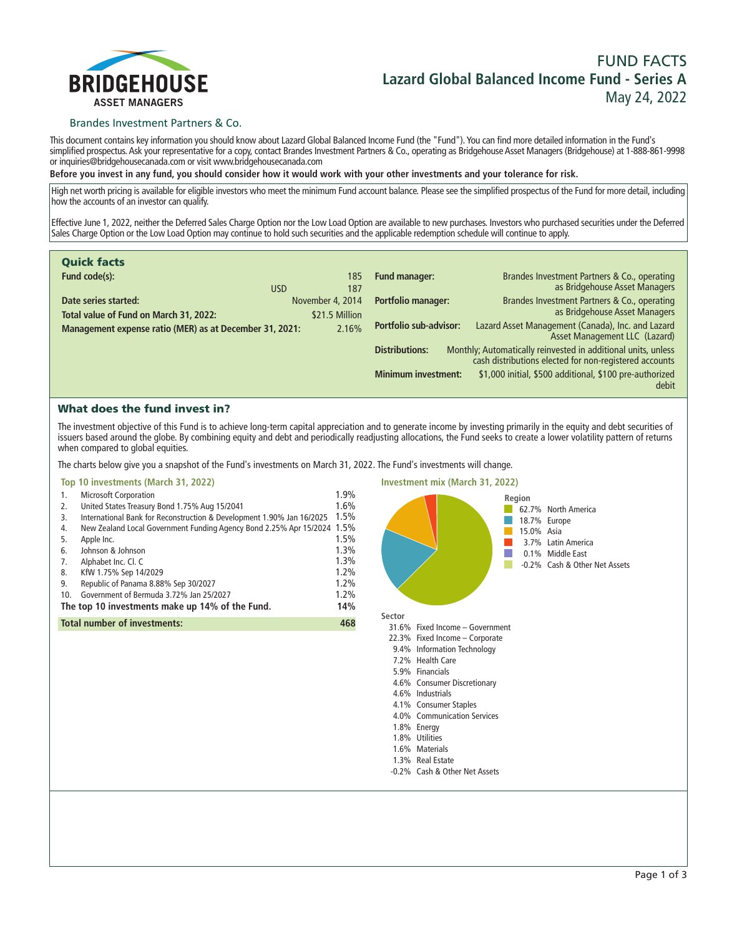

# **FUND FACTS Lazard Global Balanced Income Fund - Series A May 24, 2022**

## Brandes Investment Partners & Co.

**This document contains key information you should know about Lazard Global Balanced Income Fund (the "Fund"). You can find more detailed information in the Fund's simplified prospectus. Ask your representative for a copy, contact Brandes Investment Partners & Co., operating as Bridgehouse Asset Managers (Bridgehouse) at 1-888-861-9998 or inquiries@bridgehousecanada.com or visit www.bridgehousecanada.com**

**Before you invest in any fund, you should consider how it would work with your other investments and your tolerance for risk.**

**High net worth pricing is available for eligible investors who meet the minimum Fund account balance. Please see the simplified prospectus of the Fund for more detail, including how the accounts of an investor can qualify.**

**Effective June 1, 2022, neither the Deferred Sales Charge Option nor the Low Load Option are available to new purchases. Investors who purchased securities under the Deferred Sales Charge Option or the Low Load Option may continue to hold such securities and the applicable redemption schedule will continue to apply.**

| <b>Quick facts</b>                                      |                  |                               |                                                                                                                         |
|---------------------------------------------------------|------------------|-------------------------------|-------------------------------------------------------------------------------------------------------------------------|
| Fund code(s):                                           |                  | Fund manager:<br>185          | Brandes Investment Partners & Co., operating                                                                            |
|                                                         | <b>USD</b>       | 187                           | as Bridgehouse Asset Managers                                                                                           |
| Date series started:                                    | November 4, 2014 | Portfolio manager:            | Brandes Investment Partners & Co., operating                                                                            |
| Total value of Fund on March 31, 2022:                  | \$21.5 Million   |                               | as Bridgehouse Asset Managers                                                                                           |
| Management expense ratio (MER) as at December 31, 2021: | 2.16%            | <b>Portfolio sub-advisor:</b> | Lazard Asset Management (Canada), Inc. and Lazard<br>Asset Management LLC (Lazard)                                      |
|                                                         |                  | <b>Distributions:</b>         | Monthly; Automatically reinvested in additional units, unless<br>cash distributions elected for non-registered accounts |
|                                                         |                  | <b>Minimum investment:</b>    | \$1,000 initial, \$500 additional, \$100 pre-authorized<br>debit                                                        |

## What does the fund invest in?

**The investment objective of this Fund is to achieve long-term capital appreciation and to generate income by investing primarily in the equity and debt securities of issuers based around the globe. By combining equity and debt and periodically readjusting allocations, the Fund seeks to create a lower volatility pattern of returns when compared to global equities.**

**The charts below give you a snapshot of the Fund's investments on March 31, 2022. The Fund's investments will change.**

**Top 10 investments (March 31, 2022)**

| 1.  | <b>Microsoft Corporation</b>                                            | 1.9%    |
|-----|-------------------------------------------------------------------------|---------|
| 2.  | United States Treasury Bond 1.75% Aug 15/2041                           | 1.6%    |
| 3.  | International Bank for Reconstruction & Development 1.90% Jan 16/2025   | 1.5%    |
| 4.  | New Zealand Local Government Funding Agency Bond 2.25% Apr 15/2024 1.5% |         |
| 5.  | Apple Inc.                                                              | 1.5%    |
| 6.  | Johnson & Johnson                                                       | 1.3%    |
| 7.  | Alphabet Inc. Cl. C                                                     | 1.3%    |
| 8.  | KfW 1.75% Sep 14/2029                                                   | 1.2%    |
| 9.  | Republic of Panama 8.88% Sep 30/2027                                    | $1.2\%$ |
| 10. | Government of Bermuda 3.72% Jan 25/2027                                 | $1.2\%$ |
|     | The top 10 investments make up 14% of the Fund.                         | 14%     |
|     | <b>Total number of investments:</b>                                     | 468     |

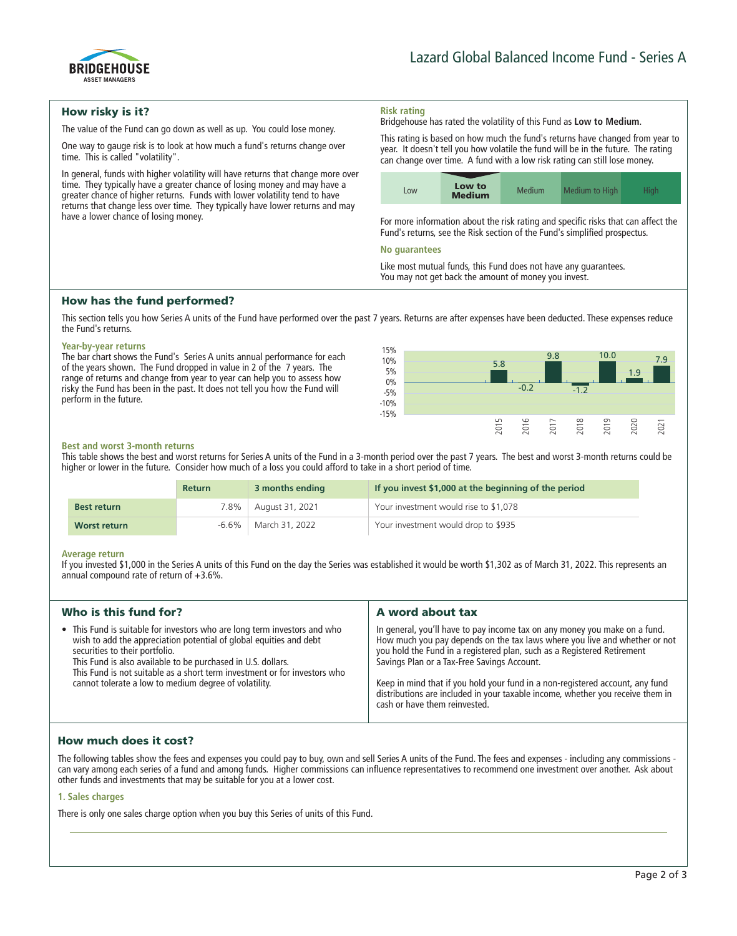

## How risky is it?

**The value of the Fund can go down as well as up. You could lose money.**

**One way to gauge risk is to look at how much a fund's returns change over time. This is called "volatility".**

**In general, funds with higher volatility will have returns that change more over time. They typically have a greater chance of losing money and may have a greater chance of higher returns. Funds with lower volatility tend to have returns that change less over time. They typically have lower returns and may have a lower chance of losing money.**

## **Risk rating**

**Bridgehouse has rated the volatility of this Fund as Low to Medium.**

**This rating is based on how much the fund's returns have changed from year to year. It doesn't tell you how volatile the fund will be in the future. The rating can change over time. A fund with a low risk rating can still lose money.**

| LOW | Low to<br><b>Medium</b> | <b>Medium</b> | Medium to High | Hiah |
|-----|-------------------------|---------------|----------------|------|

**For more information about the risk rating and specific risks that can affect the Fund's returns, see the Risk section of the Fund's simplified prospectus.**

#### **No guarantees**

**Like most mutual funds, this Fund does not have any guarantees. You may not get back the amount of money you invest.**

## How has the fund performed?

**This section tells you how Series A units of the Fund have performed over the past 7 years. Returns are after expenses have been deducted. These expenses reduce the Fund's returns.**

#### **Year-by-year returns**

**The bar chart shows the Fund's Series A units annual performance for each of the years shown. The Fund dropped in value in 2 of the 7 years. The range of returns and change from year to year can help you to assess how risky the Fund has been in the past. It does not tell you how the Fund will perform in the future.**



#### **Best and worst 3-month returns**

**This table shows the best and worst returns for Series A units of the Fund in a 3-month period over the past 7 years. The best and worst 3-month returns could be higher or lower in the future. Consider how much of a loss you could afford to take in a short period of time.**

|                    | <b>Return</b> | 3 months ending | If you invest \$1,000 at the beginning of the period |
|--------------------|---------------|-----------------|------------------------------------------------------|
| <b>Best return</b> | 7.8%          | August 31, 2021 | Your investment would rise to \$1,078                |
| Worst return       | $-6.6\%$      | March 31, 2022  | Your investment would drop to \$935                  |

#### **Average return**

**If you invested \$1,000 in the Series A units of this Fund on the day the Series was established it would be worth \$1,302 as of March 31, 2022. This represents an annual compound rate of return of +3.6%.**

| Who is this fund for?                                                                                                                                                                                                                                                                                                                                                                   | A word about tax                                                                                                                                                                                                                                                                                                                                                                                                                                                                       |
|-----------------------------------------------------------------------------------------------------------------------------------------------------------------------------------------------------------------------------------------------------------------------------------------------------------------------------------------------------------------------------------------|----------------------------------------------------------------------------------------------------------------------------------------------------------------------------------------------------------------------------------------------------------------------------------------------------------------------------------------------------------------------------------------------------------------------------------------------------------------------------------------|
| • This Fund is suitable for investors who are long term investors and who<br>wish to add the appreciation potential of global equities and debt<br>securities to their portfolio.<br>This Fund is also available to be purchased in U.S. dollars.<br>This Fund is not suitable as a short term investment or for investors who<br>cannot tolerate a low to medium degree of volatility. | In general, you'll have to pay income tax on any money you make on a fund.<br>How much you pay depends on the tax laws where you live and whether or not<br>you hold the Fund in a registered plan, such as a Registered Retirement<br>Savings Plan or a Tax-Free Savings Account.<br>Keep in mind that if you hold your fund in a non-registered account, any fund<br>distributions are included in your taxable income, whether you receive them in<br>cash or have them reinvested. |
|                                                                                                                                                                                                                                                                                                                                                                                         |                                                                                                                                                                                                                                                                                                                                                                                                                                                                                        |

## How much does it cost?

**The following tables show the fees and expenses you could pay to buy, own and sell Series A units of the Fund. The fees and expenses - including any commissions can vary among each series of a fund and among funds. Higher commissions can influence representatives to recommend one investment over another. Ask about other funds and investments that may be suitable for you at a lower cost.**

### **1. Sales charges**

**There is only one sales charge option when you buy this Series of units of this Fund.**